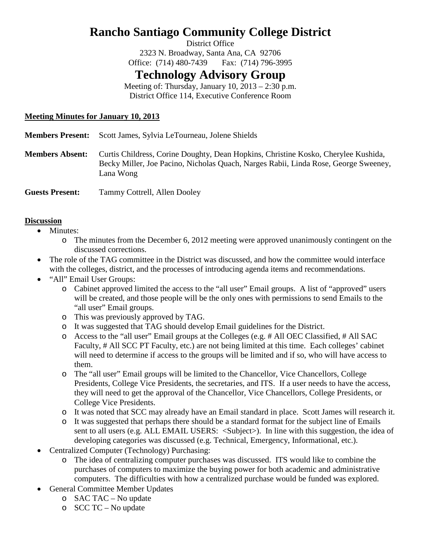# **Rancho Santiago Community College District**

District Office

2323 N. Broadway, Santa Ana, CA 92706 Office: (714) 480-7439 Fax: (714) 796-3995

## **Technology Advisory Group**

Meeting of: Thursday, January  $10$ ,  $2013 - 2:30$  p.m. District Office 114, Executive Conference Room

## **Meeting Minutes for January 10, 2013**

| <b>Members Present:</b> | Scott James, Sylvia LeTourneau, Jolene Shields                                                                                                                                         |
|-------------------------|----------------------------------------------------------------------------------------------------------------------------------------------------------------------------------------|
| <b>Members Absent:</b>  | Curtis Childress, Corine Doughty, Dean Hopkins, Christine Kosko, Cherylee Kushida,<br>Becky Miller, Joe Pacino, Nicholas Quach, Narges Rabii, Linda Rose, George Sweeney,<br>Lana Wong |
| <b>Guests Present:</b>  | Tammy Cottrell, Allen Dooley                                                                                                                                                           |

### **Discussion**

- Minutes:
	- o The minutes from the December 6, 2012 meeting were approved unanimously contingent on the discussed corrections.
- The role of the TAG committee in the District was discussed, and how the committee would interface with the colleges, district, and the processes of introducing agenda items and recommendations.
- "All" Email User Groups:
	- o Cabinet approved limited the access to the "all user" Email groups. A list of "approved" users will be created, and those people will be the only ones with permissions to send Emails to the "all user" Email groups.
	- o This was previously approved by TAG.
	- o It was suggested that TAG should develop Email guidelines for the District.
	- o Access to the "all user" Email groups at the Colleges (e.g. # All OEC Classified, # All SAC Faculty, # All SCC PT Faculty, etc.) are not being limited at this time. Each colleges' cabinet will need to determine if access to the groups will be limited and if so, who will have access to them.
	- o The "all user" Email groups will be limited to the Chancellor, Vice Chancellors, College Presidents, College Vice Presidents, the secretaries, and ITS. If a user needs to have the access, they will need to get the approval of the Chancellor, Vice Chancellors, College Presidents, or College Vice Presidents.
	- o It was noted that SCC may already have an Email standard in place. Scott James will research it.
	- o It was suggested that perhaps there should be a standard format for the subject line of Emails sent to all users (e.g. ALL EMAIL USERS: <Subject>). In line with this suggestion, the idea of developing categories was discussed (e.g. Technical, Emergency, Informational, etc.).
- Centralized Computer (Technology) Purchasing:
	- o The idea of centralizing computer purchases was discussed. ITS would like to combine the purchases of computers to maximize the buying power for both academic and administrative computers. The difficulties with how a centralized purchase would be funded was explored.
- General Committee Member Updates
	- o SAC TAC No update
	- o SCC TC No update